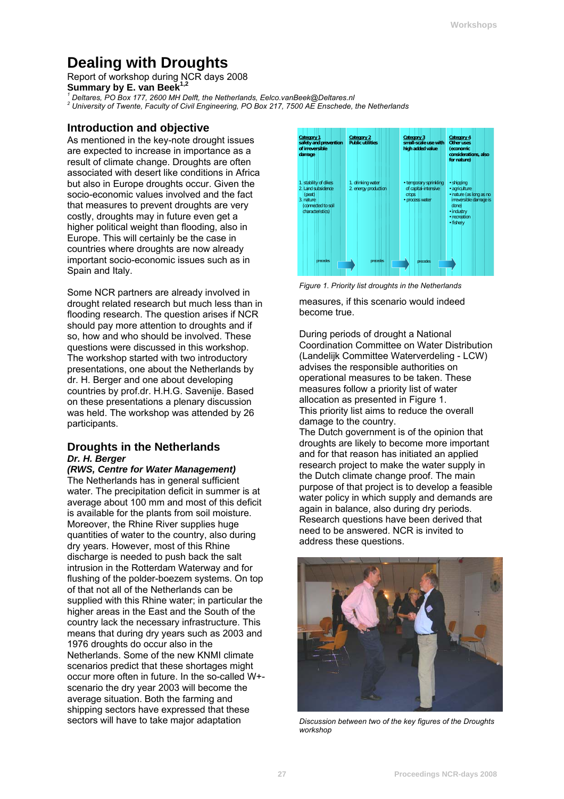# **Dealing with Droughts**

Report of workshop during NCR days 2008 **Summary by E. van Beek<sup>1,2</sup><br><sup>1</sup> Referee BO Bev 177, 3600 MH Dr** 

 *Deltares, PO Box 177, 2600 MH Delft, the Netherlands, Eelco.vanBeek@Deltares.nl 2*

 *University of Twente, Faculty of Civil Engineering, PO Box 217, 7500 AE Enschede, the Netherlands* 

### **Introduction and objective**

As mentioned in the key-note drought issues are expected to increase in importance as a result of climate change. Droughts are often associated with desert like conditions in Africa but also in Europe droughts occur. Given the socio-economic values involved and the fact that measures to prevent droughts are very costly, droughts may in future even get a higher political weight than flooding, also in Europe. This will certainly be the case in countries where droughts are now already important socio-economic issues such as in Spain and Italy.

Some NCR partners are already involved in drought related research but much less than in flooding research. The question arises if NCR should pay more attention to droughts and if so, how and who should be involved. These questions were discussed in this workshop. The workshop started with two introductory presentations, one about the Netherlands by dr. H. Berger and one about developing countries by prof.dr. H.H.G. Savenije. Based on these presentations a plenary discussion was held. The workshop was attended by 26 participants.

#### **Droughts in the Netherlands**  *Dr. H. Berger*

*(RWS, Centre for Water Management)* 

The Netherlands has in general sufficient water. The precipitation deficit in summer is at average about 100 mm and most of this deficit is available for the plants from soil moisture. Moreover, the Rhine River supplies huge quantities of water to the country, also during dry years. However, most of this Rhine discharge is needed to push back the salt intrusion in the Rotterdam Waterway and for flushing of the polder-boezem systems. On top of that not all of the Netherlands can be supplied with this Rhine water; in particular the higher areas in the East and the South of the country lack the necessary infrastructure. This means that during dry years such as 2003 and 1976 droughts do occur also in the Netherlands. Some of the new KNMI climate scenarios predict that these shortages might occur more often in future. In the so-called W+ scenario the dry year 2003 will become the average situation. Both the farming and shipping sectors have expressed that these sectors will have to take major adaptation



*Figure 1. Priority list droughts in the Netherlands*  measures, if this scenario would indeed

become true.

During periods of drought a National Coordination Committee on Water Distribution (Landelijk Committee Waterverdeling - LCW) advises the responsible authorities on operational measures to be taken. These measures follow a priority list of water allocation as presented in Figure 1. This priority list aims to reduce the overall damage to the country.

The Dutch government is of the opinion that droughts are likely to become more important and for that reason has initiated an applied research project to make the water supply in the Dutch climate change proof. The main purpose of that project is to develop a feasible water policy in which supply and demands are again in balance, also during dry periods. Research questions have been derived that need to be answered. NCR is invited to address these questions.



*Discussion between two of the key figures of the Droughts workshop*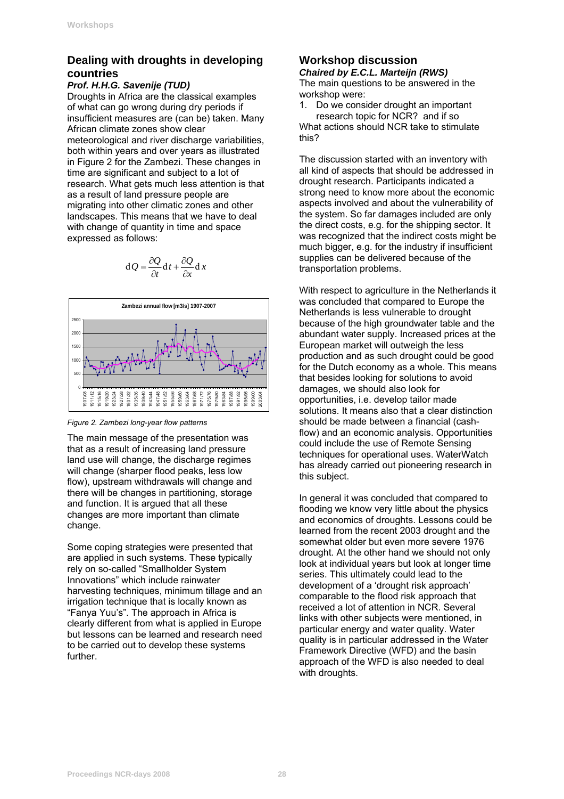### **Dealing with droughts in developing countries**

#### *Prof. H.H.G. Savenije (TUD)*

Droughts in Africa are the classical examples of what can go wrong during dry periods if insufficient measures are (can be) taken. Many African climate zones show clear meteorological and river discharge variabilities, both within years and over years as illustrated in [Figure 2](#page-1-0) for the Zambezi. These changes in time are significant and subject to a lot of research. What gets much less attention is that as a result of land pressure people are migrating into other climatic zones and other landscapes. This means that we have to deal with change of quantity in time and space expressed as follows:

$$
dQ = \frac{\partial Q}{\partial t} dt + \frac{\partial Q}{\partial x} dx
$$



<span id="page-1-0"></span>*Figure 2. Zambezi long-year flow patterns* 

The main message of the presentation was that as a result of increasing land pressure land use will change, the discharge regimes will change (sharper flood peaks, less low flow), upstream withdrawals will change and there will be changes in partitioning, storage and function. It is argued that all these changes are more important than climate change.

Some coping strategies were presented that are applied in such systems. These typically rely on so-called "Smallholder System Innovations" which include rainwater harvesting techniques, minimum tillage and an irrigation technique that is locally known as "Fanya Yuu's". The approach in Africa is clearly different from what is applied in Europe but lessons can be learned and research need to be carried out to develop these systems further.

## **Workshop discussion**

*Chaired by E.C.L. Marteijn (RWS)*  The main questions to be answered in the workshop were:

1. Do we consider drought an important research topic for NCR? and if so

What actions should NCR take to stimulate this?

The discussion started with an inventory with all kind of aspects that should be addressed in drought research. Participants indicated a strong need to know more about the economic aspects involved and about the vulnerability of the system. So far damages included are only the direct costs, e.g. for the shipping sector. It was recognized that the indirect costs might be much bigger, e.g. for the industry if insufficient supplies can be delivered because of the transportation problems.

With respect to agriculture in the Netherlands it was concluded that compared to Europe the Netherlands is less vulnerable to drought because of the high groundwater table and the abundant water supply. Increased prices at the European market will outweigh the less production and as such drought could be good for the Dutch economy as a whole. This means that besides looking for solutions to avoid damages, we should also look for opportunities, i.e. develop tailor made solutions. It means also that a clear distinction should be made between a financial (cashflow) and an economic analysis. Opportunities could include the use of Remote Sensing techniques for operational uses. WaterWatch has already carried out pioneering research in this subject.

In general it was concluded that compared to flooding we know very little about the physics and economics of droughts. Lessons could be learned from the recent 2003 drought and the somewhat older but even more severe 1976 drought. At the other hand we should not only look at individual years but look at longer time series. This ultimately could lead to the development of a 'drought risk approach' comparable to the flood risk approach that received a lot of attention in NCR. Several links with other subjects were mentioned, in particular energy and water quality. Water quality is in particular addressed in the Water Framework Directive (WFD) and the basin approach of the WFD is also needed to deal with droughts.